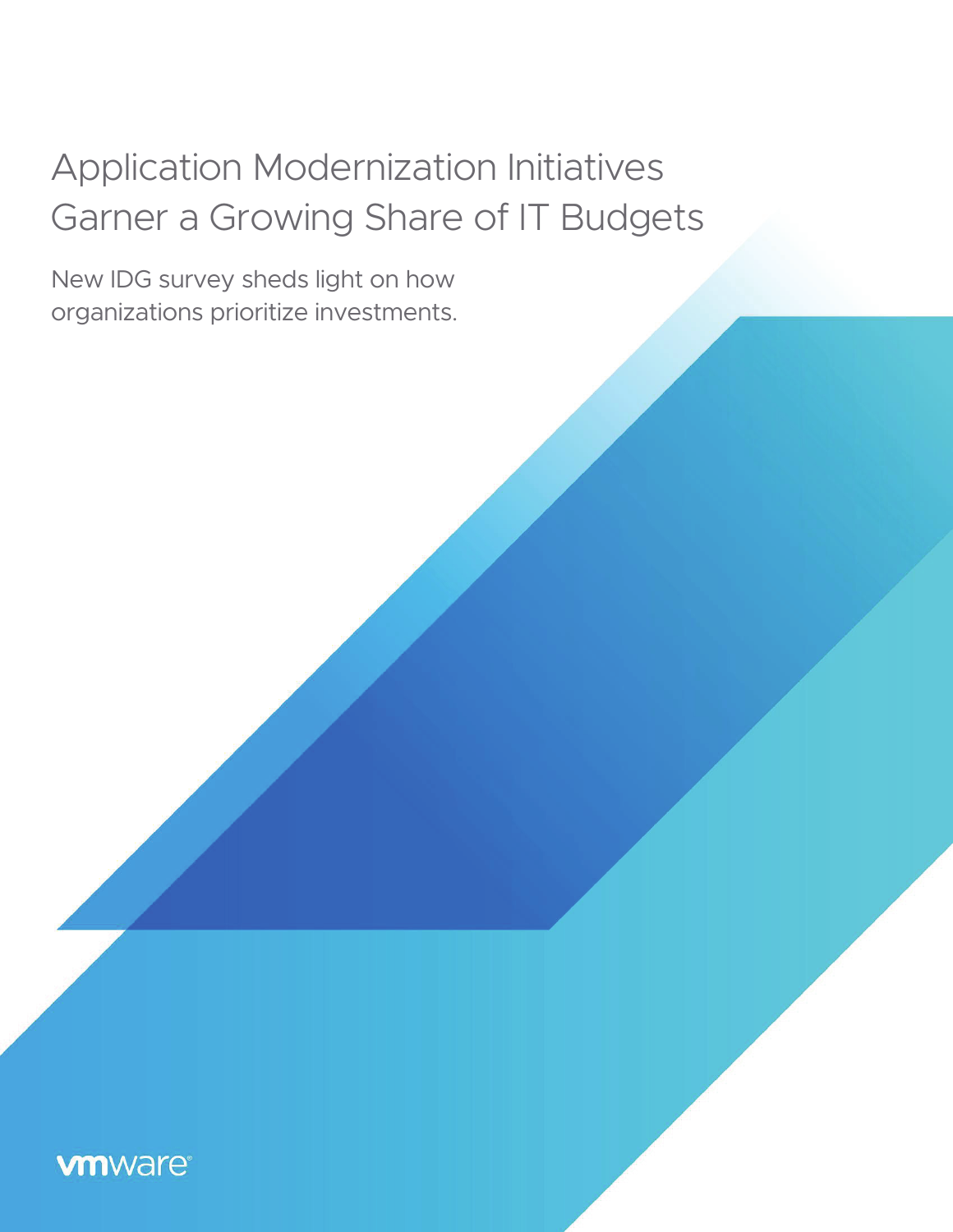# Application Modernization Initiatives Garner a Growing Share of IT Budgets

New IDG survey sheds light on how organizations prioritize investments.

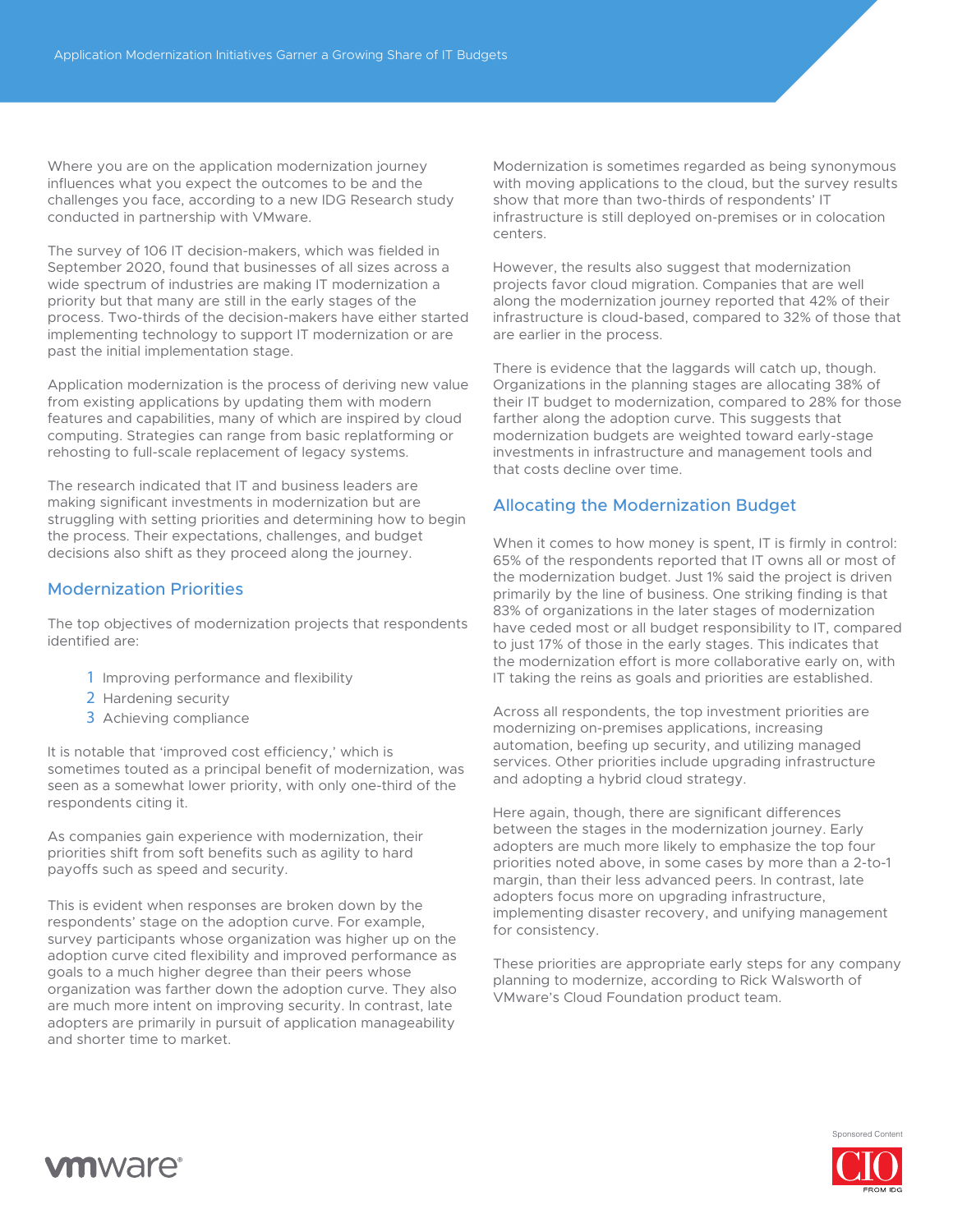Where you are on the application modernization journey influences what you expect the outcomes to be and the challenges you face, according to a new IDG Research study conducted in partnership with VMware.

The survey of 106 IT decision-makers, which was fielded in September 2020, found that businesses of all sizes across a wide spectrum of industries are making IT modernization a priority but that many are still in the early stages of the process. Two-thirds of the decision-makers have either started implementing technology to support IT modernization or are past the initial implementation stage.

Application modernization is the process of deriving new value from existing applications by updating them with modern features and capabilities, many of which are inspired by cloud computing. Strategies can range from basic replatforming or rehosting to full-scale replacement of legacy systems.

The research indicated that IT and business leaders are making significant investments in modernization but are struggling with setting priorities and determining how to begin the process. Their expectations, challenges, and budget decisions also shift as they proceed along the journey.

#### Modernization Priorities

The top objectives of modernization projects that respondents identified are:

- 1 Improving performance and flexibility
- 2 Hardening security
- 3 Achieving compliance

It is notable that 'improved cost efficiency,' which is sometimes touted as a principal benefit of modernization, was seen as a somewhat lower priority, with only one-third of the respondents citing it.

As companies gain experience with modernization, their priorities shift from soft benefits such as agility to hard payoffs such as speed and security.

This is evident when responses are broken down by the respondents' stage on the adoption curve. For example, survey participants whose organization was higher up on the adoption curve cited flexibility and improved performance as goals to a much higher degree than their peers whose organization was farther down the adoption curve. They also are much more intent on improving security. In contrast, late adopters are primarily in pursuit of application manageability and shorter time to market.

Modernization is sometimes regarded as being synonymous with moving applications to the cloud, but the survey results show that more than two-thirds of respondents' IT infrastructure is still deployed on-premises or in colocation centers.

However, the results also suggest that modernization projects favor cloud migration. Companies that are well along the modernization journey reported that 42% of their infrastructure is cloud-based, compared to 32% of those that are earlier in the process.

There is evidence that the laggards will catch up, though. Organizations in the planning stages are allocating 38% of their IT budget to modernization, compared to 28% for those farther along the adoption curve. This suggests that modernization budgets are weighted toward early-stage investments in infrastructure and management tools and that costs decline over time.

#### Allocating the Modernization Budget

When it comes to how money is spent, IT is firmly in control: 65% of the respondents reported that IT owns all or most of the modernization budget. Just 1% said the project is driven primarily by the line of business. One striking finding is that 83% of organizations in the later stages of modernization have ceded most or all budget responsibility to IT, compared to just 17% of those in the early stages. This indicates that the modernization effort is more collaborative early on, with IT taking the reins as goals and priorities are established.

Across all respondents, the top investment priorities are modernizing on-premises applications, increasing automation, beefing up security, and utilizing managed services. Other priorities include upgrading infrastructure and adopting a hybrid cloud strategy.

Here again, though, there are significant differences between the stages in the modernization journey. Early adopters are much more likely to emphasize the top four priorities noted above, in some cases by more than a 2-to-1 margin, than their less advanced peers. In contrast, late adopters focus more on upgrading infrastructure, implementing disaster recovery, and unifying management for consistency.

These priorities are appropriate early steps for any company planning to modernize, according to Rick Walsworth of VMware's Cloud Foundation product team.



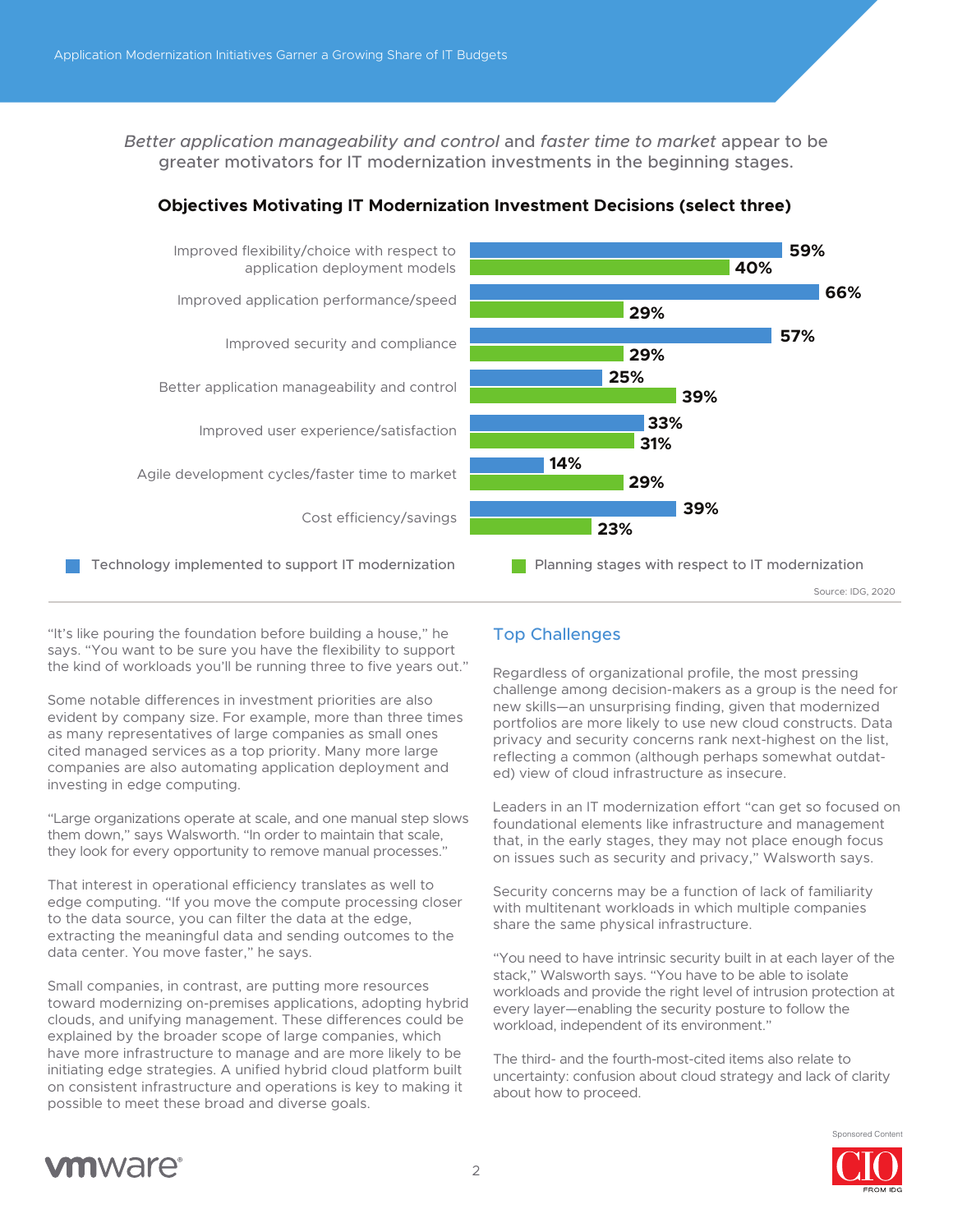*Better application manageability and control* and *faster time to market* appear to be greater motivators for IT modernization investments in the beginning stages.



## **Objectives Motivating IT Modernization Investment Decisions (select three)**

"It's like pouring the foundation before building a house," he says. "You want to be sure you have the flexibility to support the kind of workloads you'll be running three to five years out."

Some notable differences in investment priorities are also evident by company size. For example, more than three times as many representatives of large companies as small ones cited managed services as a top priority. Many more large companies are also automating application deployment and investing in edge computing.

"Large organizations operate at scale, and one manual step slows them down," says Walsworth. "In order to maintain that scale, they look for every opportunity to remove manual processes."

That interest in operational efficiency translates as well to edge computing. "If you move the compute processing closer to the data source, you can filter the data at the edge, extracting the meaningful data and sending outcomes to the data center. You move faster," he says.

Small companies, in contrast, are putting more resources toward modernizing on-premises applications, adopting hybrid clouds, and unifying management. These differences could be explained by the broader scope of large companies, which have more infrastructure to manage and are more likely to be initiating edge strategies. A unified hybrid cloud platform built on consistent infrastructure and operations is key to making it possible to meet these broad and diverse goals.

# Top Challenges

Regardless of organizational profile, the most pressing challenge among decision-makers as a group is the need for new skills—an unsurprising finding, given that modernized portfolios are more likely to use new cloud constructs. Data privacy and security concerns rank next-highest on the list, reflecting a common (although perhaps somewhat outdated) view of cloud infrastructure as insecure.

Leaders in an IT modernization effort "can get so focused on foundational elements like infrastructure and management that, in the early stages, they may not place enough focus on issues such as security and privacy," Walsworth says.

Security concerns may be a function of lack of familiarity with multitenant workloads in which multiple companies share the same physical infrastructure.

"You need to have intrinsic security built in at each layer of the stack," Walsworth says. "You have to be able to isolate workloads and provide the right level of intrusion protection at every layer—enabling the security posture to follow the workload, independent of its environment."

The third- and the fourth-most-cited items also relate to uncertainty: confusion about cloud strategy and lack of clarity about how to proceed.